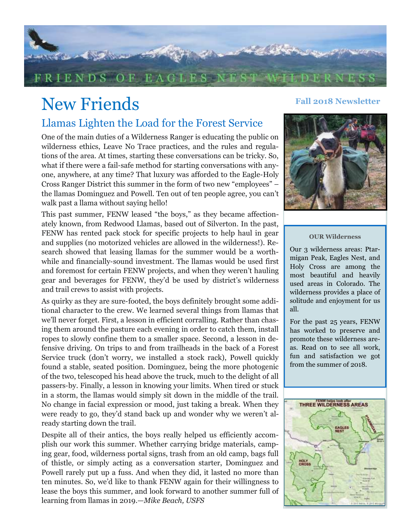

# New Friends

## Llamas Lighten the Load for the Forest Service

One of the main duties of a Wilderness Ranger is educating the public on wilderness ethics, Leave No Trace practices, and the rules and regulations of the area. At times, starting these conversations can be tricky. So, what if there were a fail-safe method for starting conversations with anyone, anywhere, at any time? That luxury was afforded to the Eagle-Holy Cross Ranger District this summer in the form of two new "employees" – the llamas Dominguez and Powell. Ten out of ten people agree, you can't walk past a llama without saying hello!

This past summer, FENW leased "the boys," as they became affectionately known, from Redwood Llamas, based out of Silverton. In the past, FENW has rented pack stock for specific projects to help haul in gear and supplies (no motorized vehicles are allowed in the wilderness!). Research showed that leasing llamas for the summer would be a worthwhile and financially-sound investment. The llamas would be used first and foremost for certain FENW projects, and when they weren't hauling gear and beverages for FENW, they'd be used by district's wilderness and trail crews to assist with projects.

As quirky as they are sure-footed, the boys definitely brought some additional character to the crew. We learned several things from llamas that we'll never forget. First, a lesson in efficient corralling. Rather than chasing them around the pasture each evening in order to catch them, install ropes to slowly confine them to a smaller space. Second, a lesson in defensive driving. On trips to and from trailheads in the back of a Forest Service truck (don't worry, we installed a stock rack), Powell quickly found a stable, seated position. Dominguez, being the more photogenic of the two, telescoped his head above the truck, much to the delight of all passers-by. Finally, a lesson in knowing your limits. When tired or stuck in a storm, the llamas would simply sit down in the middle of the trail. No change in facial expression or mood, just taking a break. When they were ready to go, they'd stand back up and wonder why we weren't already starting down the trail.

Despite all of their antics, the boys really helped us efficiently accomplish our work this summer. Whether carrying bridge materials, camping gear, food, wilderness portal signs, trash from an old camp, bags full of thistle, or simply acting as a conversation starter, Dominguez and Powell rarely put up a fuss. And when they did, it lasted no more than ten minutes. So, we'd like to thank FENW again for their willingness to lease the boys this summer, and look forward to another summer full of learning from llamas in 2019.—*Mike Beach, USFS*

## **Fall 2018 Newsletter**



### **OUR Wilderness**

Our 3 wilderness areas: Ptarmigan Peak, Eagles Nest, and Holy Cross are among the most beautiful and heavily used areas in Colorado. The wilderness provides a place of solitude and enjoyment for us all.

For the past 25 years, FENW has worked to preserve and promote these wilderness areas. Read on to see all work, fun and satisfaction we got from the summer of 2018.

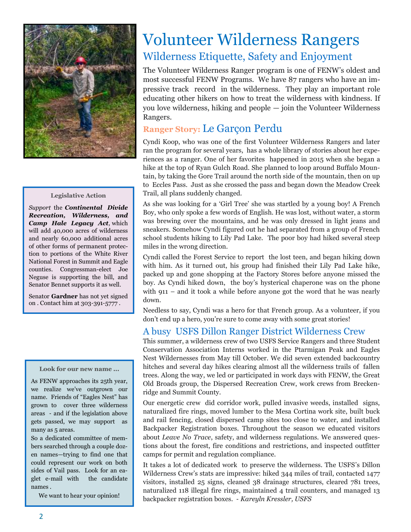

#### **Legislative Action**

*Support* the *Continental Divide Recreation, Wilderness, and Camp Hale Legacy Act*, which will add 40,000 acres of wilderness and nearly 60,000 additional acres of other forms of permanent protection to portions of the White River National Forest in Summit and Eagle counties. Congressman-elect Joe Neguse is supporting the bill, and Senator Bennet supports it as well.

Senator **Gardner** has not yet signed on . Contact him at 303-391-5777 .

#### **Look for our new name ...**

As FENW approaches its 25th year, we realize we've outgrown our name. Friends of "Eagles Nest" has grown to cover three wilderness areas - and if the legislation above gets passed, we may support as many as 5 areas.

So a dedicated committee of members searched through a couple dozen names—trying to find one that could represent our work on both sides of Vail pass. Look for an eaglet e-mail with the candidate names .

We want to hear your opinion!

## Volunteer Wilderness Rangers Wilderness Etiquette, Safety and Enjoyment

The Volunteer Wilderness Ranger program is one of FENW's oldest and most successful FENW Programs. We have 87 rangers who have an impressive track record in the wilderness. They play an important role educating other hikers on how to treat the wilderness with kindness. If you love wilderness, hiking and people — join the Volunteer Wilderness Rangers.

## **Ranger Story:** Le Garçon Perdu

Cyndi Koop, who was one of the first Volunteer Wilderness Rangers and later ran the program for several years, has a whole library of stories about her experiences as a ranger. One of her favorites happened in 2015 when she began a hike at the top of Ryan Gulch Road. She planned to loop around Buffalo Mountain, by taking the Gore Trail around the north side of the mountain, then on up to Eccles Pass. Just as she crossed the pass and began down the Meadow Creek Trail, all plans suddenly changed.

As she was looking for a 'Girl Tree' she was startled by a young boy! A French Boy, who only spoke a few words of English. He was lost, without water, a storm was brewing over the mountains, and he was only dressed in light jeans and sneakers. Somehow Cyndi figured out he had separated from a group of French school students hiking to Lily Pad Lake. The poor boy had hiked several steep miles in the wrong direction.

Cyndi called the Forest Service to report the lost teen, and began hiking down with him. As it turned out, his group had finished their Lily Pad Lake hike, packed up and gone shopping at the Factory Stores before anyone missed the boy. As Cyndi hiked down, the boy's hysterical chaperone was on the phone with 911 – and it took a while before anyone got the word that he was nearly down.

Needless to say, Cyndi was a hero for that French group. As a volunteer, if you don't end up a hero, you're sure to come away with some great stories!

## A busy USFS Dillon Ranger District Wilderness Crew

This summer, a wilderness crew of two USFS Service Rangers and three Student Conservation Association Interns worked in the Ptarmigan Peak and Eagles Nest Wildernesses from May till October. We did seven extended backcountry hitches and several day hikes clearing almost all the wilderness trails of fallen trees. Along the way, we led or participated in work days with FENW, the Great Old Broads group, the Dispersed Recreation Crew, work crews from Breckenridge and Summit County.

Our energetic crew did corridor work, pulled invasive weeds, installed signs, naturalized fire rings, moved lumber to the Mesa Cortina work site, built buck and rail fencing, closed dispersed camp sites too close to water, and installed Backpacker Registration boxes. Throughout the season we educated visitors about *Leave No Trace*, safety, and wilderness regulations. We answered questions about the forest, fire conditions and restrictions, and inspected outfitter camps for permit and regulation compliance.

It takes a lot of dedicated work to preserve the wilderness. The USFS's Dillon Wilderness Crew's stats are impressive: hiked 344 miles of trail, contacted 1477 visitors, installed 25 signs, cleaned 38 drainage structures, cleared 781 trees, naturalized 118 illegal fire rings, maintained 4 trail counters, and managed 13 backpacker registration boxes. - *Kareyln Kressler, USFS*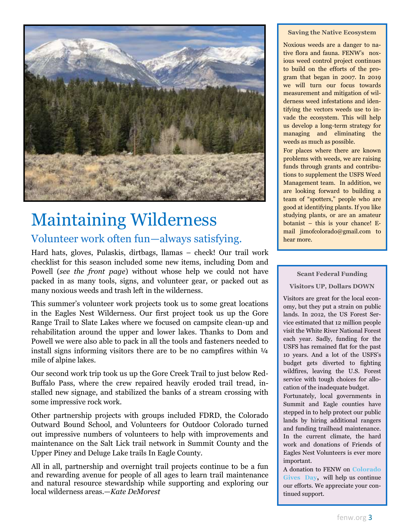

# Maintaining Wilderness

## Volunteer work often fun—always satisfying.

Hard hats, gloves, Pulaskis, dirtbags, llamas – check! Our trail work checklist for this season included some new items, including Dom and Powell (*see the front page*) without whose help we could not have packed in as many tools, signs, and volunteer gear, or packed out as many noxious weeds and trash left in the wilderness.

This summer's volunteer work projects took us to some great locations in the Eagles Nest Wilderness. Our first project took us up the Gore Range Trail to Slate Lakes where we focused on campsite clean-up and rehabilitation around the upper and lower lakes. Thanks to Dom and Powell we were also able to pack in all the tools and fasteners needed to install signs informing visitors there are to be no campfires within  $\frac{1}{4}$ mile of alpine lakes.

Our second work trip took us up the Gore Creek Trail to just below Red-Buffalo Pass, where the crew repaired heavily eroded trail tread, installed new signage, and stabilized the banks of a stream crossing with some impressive rock work.

Other partnership projects with groups included FDRD, the Colorado Outward Bound School, and Volunteers for Outdoor Colorado turned out impressive numbers of volunteers to help with improvements and maintenance on the Salt Lick trail network in Summit County and the Upper Piney and Deluge Lake trails In Eagle County.

All in all, partnership and overnight trail projects continue to be a fun and rewarding avenue for people of all ages to learn trail maintenance and natural resource stewardship while supporting and exploring our local wilderness areas.—*Kate DeMorest*

### **Saving the Native Ecosystem**

Noxious weeds are a danger to native flora and fauna. FENW's noxious weed control project continues to build on the efforts of the program that began in 2007. In 2019 we will turn our focus towards measurement and mitigation of wilderness weed infestations and identifying the vectors weeds use to invade the ecosystem. This will help us develop a long-term strategy for managing and eliminating the weeds as much as possible.

For places where there are known problems with weeds, we are raising funds through grants and contributions to supplement the USFS Weed Management team. In addition, we are looking forward to building a team of "spotters," people who are good at identifying plants. If you like studying plants, or are an amateur botanist – this is your chance! Email [jimofcolorado@gmail.com](mailto:jimofcolorado@gmail.com) to hear more.

## **Scant Federal Funding**

## **Visitors UP, Dollars DOWN**

Visitors are great for the local economy, but they put a strain on public lands. In 2012, the US Forest Service estimated that 12 million people visit the White River National Forest each year. Sadly, funding for the USFS has remained flat for the past 10 years. And a lot of the USFS's budget gets diverted to fighting wildfires, leaving the U.S. Forest service with tough choices for allocation of the inadequate budget.

Fortunately, local governments in Summit and Eagle counties have stepped in to help protect our public lands by hiring additional rangers and funding trailhead maintenance. In the current climate, the hard work and donations of Friends of Eagles Nest Volunteers is ever more important.

A donation to FENW on **Colorado Gives Day,** will help us continue our efforts. We appreciate your continued support.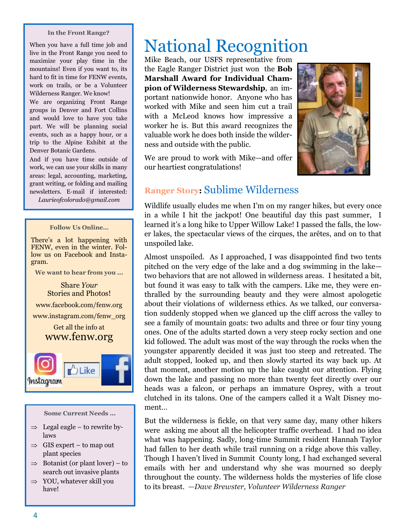#### **In the Front Range?**

When you have a full time job and live in the Front Range you need to maximize your play time in the mountains! Even if you want to, its hard to fit in time for FENW events, work on trails, or be a Volunteer Wilderness Ranger. We know!

We are organizing Front Range groups in Denver and Fort Collins and would love to have you take part. We will be planning social events, such as a happy hour, or a trip to the Alpine Exhibit at the Denver Botanic Gardens.

And if you have time outside of work, we can use your skills in many areas: legal, accounting, marketing, grant writing, or folding and mailing newsletters. E-mail if interested: *Laurieofcolorado@gmail.com* 



## **Some Current Needs ...**

- $\Rightarrow$  Legal eagle to rewrite bylaws
- $\Rightarrow$  GIS expert to map out plant species
- $\Rightarrow$  Botanist (or plant lover) to search out invasive plants
- $\Rightarrow$  YOU, whatever skill you have!

# National Recognition

Mike Beach, our USFS representative from the Eagle Ranger District just won the **Bob Marshall Award for Individual Champion of Wilderness Stewardship**, an important nationwide honor. Anyone who has worked with Mike and seen him cut a trail with a McLeod knows how impressive a worker he is. But this award recognizes the valuable work he does both inside the wilderness and outside with the public.

We are proud to work with Mike—and offer our heartiest congratulations!



## **Ranger Story:** Sublime Wilderness

Wildlife usually eludes me when I'm on my ranger hikes, but every once in a while I hit the jackpot! One beautiful day this past summer, I learned it's a long hike to Upper Willow Lake! I passed the falls, the lower lakes, the spectacular views of the cirques, the arêtes, and on to that unspoiled lake.

Almost unspoiled. As I approached, I was disappointed find two tents pitched on the very edge of the lake and a dog swimming in the lake two behaviors that are not allowed in wilderness areas. I hesitated a bit, but found it was easy to talk with the campers. Like me, they were enthralled by the surrounding beauty and they were almost apologetic about their violations of wilderness ethics. As we talked, our conversation suddenly stopped when we glanced up the cliff across the valley to see a family of mountain goats: two adults and three or four tiny young ones. One of the adults started down a very steep rocky section and one kid followed. The adult was most of the way through the rocks when the youngster apparently decided it was just too steep and retreated. The adult stopped, looked up, and then slowly started its way back up. At that moment, another motion up the lake caught our attention. Flying down the lake and passing no more than twenty feet directly over our heads was a falcon, or perhaps an immature Osprey, with a trout clutched in its talons. One of the campers called it a Walt Disney moment…

But the wilderness is fickle, on that very same day, many other hikers were asking me about all the helicopter traffic overhead. I had no idea what was happening. Sadly, long-time Summit resident Hannah Taylor had fallen to her death while trail running on a ridge above this valley. Though I haven't lived in Summit County long, I had exchanged several emails with her and understand why she was mourned so deeply throughout the county. The wilderness holds the mysteries of life close to its breast. *—Dave Brewster, Volunteer Wilderness Ranger*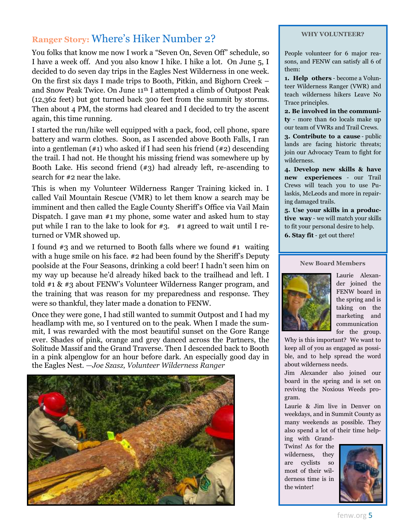## **Ranger Story:** Where's Hiker Number 2?

You folks that know me now I work a "Seven On, Seven Off" schedule, so I have a week off. And you also know I hike. I hike a lot. On June 5, I decided to do seven day trips in the Eagles Nest Wilderness in one week. On the first six days I made trips to Booth, Pitkin, and Bighorn Creek – and Snow Peak Twice. On June 11th I attempted a climb of Outpost Peak (12,362 feet) but got turned back 300 feet from the summit by storms. Then about 4 PM, the storms had cleared and I decided to try the ascent again, this time running.

I started the run/hike well equipped with a pack, food, cell phone, spare battery and warm clothes. Soon, as I ascended above Booth Falls, I ran into a gentleman (#1) who asked if I had seen his friend (#2) descending the trail. I had not. He thought his missing friend was somewhere up by Booth Lake. His second friend (#3) had already left, re-ascending to search for #2 near the lake.

This is when my Volunteer Wilderness Ranger Training kicked in. I called Vail Mountain Rescue (VMR) to let them know a search may be imminent and then called the Eagle County Sheriff's Office via Vail Main Dispatch. I gave man #1 my phone, some water and asked hum to stay put while I ran to the lake to look for  $\#3$ .  $\#1$  agreed to wait until I returned or VMR showed up.

I found #3 and we returned to Booth falls where we found #1 waiting with a huge smile on his face. #2 had been found by the Sheriff's Deputy poolside at the Four Seasons, drinking a cold beer! I hadn't seen him on my way up because he'd already hiked back to the trailhead and left. I told #1 & #3 about FENW's Volunteer Wilderness Ranger program, and the training that was reason for my preparedness and response. They were so thankful, they later made a donation to FENW.

Once they were gone, I had still wanted to summit Outpost and I had my headlamp with me, so I ventured on to the peak. When I made the summit, I was rewarded with the most beautiful sunset on the Gore Range ever. Shades of pink, orange and grey danced across the Partners, the Solitude Massif and the Grand Traverse. Then I descended back to Booth in a pink alpenglow for an hour before dark. An especially good day in the Eagles Nest. *—Joe Szasz, Volunteer Wilderness Ranger*



### **WHY VOLUNTEER?**

People volunteer for 6 major reasons, and FENW can satisfy all 6 of them:

**1. Help others** - become a Volunteer Wilderness Ranger (VWR) and teach wilderness hikers Leave No Trace principles.

**2. Be involved in the community** - more than 60 locals make up our team of VWRs and Trail Crews.

**3. Contribute to a cause** - public lands are facing historic threats; join our Advocacy Team to fight for wilderness.

**4. Develop new skills & have new experiences** - our Trail Crews will teach you to use Pulaskis, McLeods and more in repairing damaged trails.

**5. Use your skills in a productive way** - we will match your skills to fit your personal desire to help. **6. Stay fit** - get out there!

#### **New Board Members**



Laurie Alexander joined the FENW board in the spring and is taking on the marketing and communication for the group.

Why is this important? We want to keep all of you as engaged as possible, and to help spread the word about wilderness needs.

Jim Alexander also joined our board in the spring and is set on reviving the Noxious Weeds program.

Laurie & Jim live in Denver on weekdays, and in Summit County as many weekends as possible. They also spend a lot of their time helping with Grand-

Twins! As for the wilderness, they are cyclists so most of their wilderness time is in the winter!

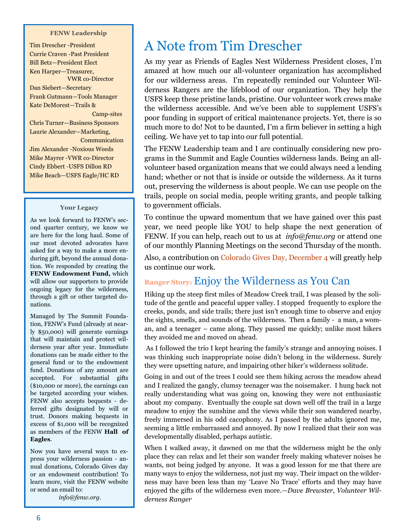#### **FENW Leadership**

Tim Drescher -President Currie Craven -Past President Bill Betz—President Elect Ken Harper—Treasurer, VWR co-Director Dan Siebert—Secretary Frank Gutmann—Tools Manager Kate DeMorest—Trails & Camp-sites Chris Turner—Business Sponsors Laurie Alexander—Marketing, **Communication** Jim Alexander -Noxious Weeds Mike Mayrer -VWR co-Director Cindy Ebbert -USFS Dillon RD Mike Beach—USFS Eagle/HC RD

#### **Your Legacy**

As we look forward to FENW's second quarter century, we know we are here for the long haul. Some of our most devoted advocates have asked for a way to make a more enduring gift, beyond the annual donation. We responded by creating the **FENW Endowment Fund,** which will allow our supporters to provide ongoing legacy for the wilderness, through a gift or other targeted donations.

Managed by The Summit Foundation, FENW's Fund (already at nearly \$50,000) will generate earnings that will maintain and protect wilderness year after year. Immediate donations can be made either to the general fund or to the endowment fund. Donations of any amount are accepted. For substantial gifts (\$10,000 or more), the earnings can be targeted according your wishes. FENW also accepts bequests - deferred gifts designated by will or trust. Donors making bequests in excess of \$1,000 will be recognized as members of the FENW **Hall of Eagles**.

Now you have several ways to express your wilderness passion - annual donations, Colorado Gives day or an endowment contribution! To learn more, visit the FENW website or send an email to:

*[info@fenw.org.](mailto:info@fenw.org)*

## A Note from Tim Drescher

As my year as Friends of Eagles Nest Wilderness President closes, I'm amazed at how much our all-volunteer organization has accomplished for our wilderness areas. I'm repeatedly reminded our Volunteer Wilderness Rangers are the lifeblood of our organization. They help the USFS keep these pristine lands, pristine. Our volunteer work crews make the wilderness accessible. And we've been able to supplement USFS's poor funding in support of critical maintenance projects. Yet, there is so much more to do! Not to be daunted, I'm a firm believer in setting a high ceiling. We have yet to tap into our full potential.

The FENW Leadership team and I are continually considering new programs in the Summit and Eagle Counties wilderness lands. Being an allvolunteer based organization means that we could always need a lending hand; whether or not that is inside or outside the wilderness. As it turns out, preserving the wilderness is about people. We can use people on the trails, people on social media, people writing grants, and people talking to government officials.

To continue the upward momentum that we have gained over this past year, we need people like YOU to help shape the next generation of FENW. If you can help, reach out to us at *[info@fenw.org](mailto:info@fenw.org)* or attend one of our monthly Planning Meetings on the second Thursday of the month.

Also, a contribution on Colorado Gives Day, December 4 will greatly help us continue our work.

## **Ranger Story:** Enjoy the Wilderness as You Can

Hiking up the steep first miles of Meadow Creek trail, I was pleased by the solitude of the gentle and peaceful upper valley. I stopped frequently to explore the creeks, ponds, and side trails; there just isn't enough time to observe and enjoy the sights, smells, and sounds of the wilderness. Then a family - a man, a woman, and a teenager – came along. They passed me quickly; unlike most hikers they avoided me and moved on ahead.

As I followed the trio I kept hearing the family's strange and annoying noises. I was thinking such inappropriate noise didn't belong in the wilderness. Surely they were upsetting nature, and impairing other hiker's wilderness solitude.

Going in and out of the trees I could see them hiking across the meadow ahead and I realized the gangly, clumsy teenager was the noisemaker. I hung back not really understanding what was going on, knowing they were not enthusiastic about my company. Eventually the couple sat down well off the trail in a large meadow to enjoy the sunshine and the views while their son wandered nearby, freely immersed in his odd cacophony. As I passed by the adults ignored me, seeming a little embarrassed and annoyed. By now I realized that their son was developmentally disabled, perhaps autistic.

When I walked away, it dawned on me that the wilderness might be the only place they can relax and let their son wander freely making whatever noises he wants, not being judged by anyone. It was a good lesson for me that there are many ways to enjoy the wilderness, not just my way. Their impact on the wilderness may have been less than my 'Leave No Trace' efforts and they may have enjoyed the gifts of the wilderness even more*.—Dave Brewster, Volunteer Wilderness Ranger*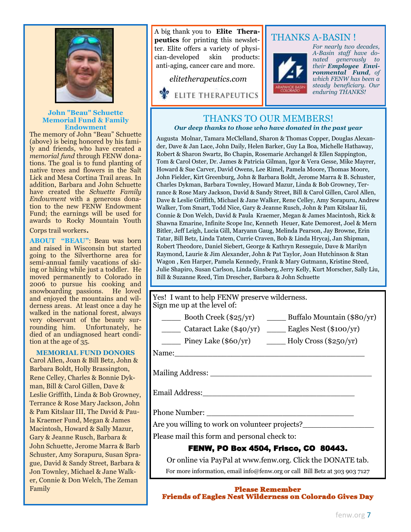

#### **John "Beau" Schuette Memorial Fund & Family Endowment**

The memory of John "Beau" Schuette (above) is being honored by his family and friends, who have created a *memorial fund* through FENW donations. The goal is to fund planting of native trees and flowers in the Salt Lick and Mesa Cortina Trail areas. In addition, Barbara and John Schuette have created the *Schuette Family Endowment* with a generous donation to the new FENW Endowment Fund; the earnings will be used for awards to Rocky Mountain Youth Corps trail workers.

**ABOUT "BEAU"**: Beau was born and raised in Wisconsin but started going to the Silverthorne area for semi-annual family vacations of skiing or hiking while just a toddler. He moved permanently to Colorado in 2006 to pursue his cooking and snowboarding passions. He loved and enjoyed the mountains and wilderness areas. At least once a day he walked in the national forest, always very observant of the beauty surrounding him. Unfortunately, he died of an undiagnosed heart condition at the age of 35.

**MEMORIAL FUND DONORS** Carol Allen, Joan & Bill Betz, John & Barbara Boldt, Holly Brassington, Rene Celley, Charles & Bonnie Dykman, Bill & Carol Gillen, Dave & Leslie Griffith, Linda & Bob Growney, Terrance & Rose Mary Jackson, John & Pam Kitslaar III, The David & Paula Kraemer Fund, Megan & James Macintosh, Howard & Sally Mazur, Gary & Jeanne Rusch, Barbara & John Schuette, Jerome Marra & Barb Schuster, Amy Sorapuru, Susan Sprague, David & Sandy Street, Barbara & Jon Townley, Michael & Jane Walker, Connie & Don Welch, The Zeman Family

A big thank you to **Elite Therapeutics** for printing this newsletter. Elite offers a variety of physician-developed skin products: anti-aging, cancer care and more.

## *elitetherapeutics.com*

**ELITE THERAPEUTICS** 

## THANKS A-BASIN !



*For nearly two decades, A-Basin staff have donated generously to their Employee Environmental Fund, of which FENW has been a steady beneficiary. Our enduring THANKS!*

## THANKS TO OUR MEMBERS! *Our deep thanks to those who have donated in the past year*

Augusta Molnar, Tamara McClelland, Sharon & Thomas Copper, Douglas Alexander, Dave & Jan Lace, John Daily, Helen Barker, Guy La Boa, Michelle Hathaway, Robert & Sharon Swartz, Bo Chapin, Rosemarie Archangel & Ellen Sappington, Tom & Carol Oster, Dr. James & Patricia Gilman, Igor & Vera Gesse, Mike Mayrer, Howard & Sue Carver, David Owens, Lee Rimel, Pamela Moore, Thomas Moore, John Fielder, Kirt Greenburg, John & Barbara Boldt, Jerome Marra & B. Schuster, Charles Dykman, Barbara Townley, Howard Mazur, Linda & Bob Growney, Terrance & Rose Mary Jackson, David & Sandy Street, Bill & Carol Gillen, Carol Allen, Dave & Leslie Griffith, Michael & Jane Walker, Rene Celley, Amy Sorapuru, Andrew Walker, Tom Smart, Todd Nice, Gary & Jeanne Rusch, John & Pam Kitslaar Iii, Connie & Don Welch, David & Paula Kraemer, Megan & James Macintosh, Rick & Shawna Emarine, Infinite Scope Inc, Kenneth Heuer, Kate Demorest, Joel & Mern Bitler, Jeff Leigh, Lucia Gill, Maryann Gaug, Melinda Pearson, Jay Browne, Erin Tatar, Bill Betz, Linda Tatem, Currie Craven, Bob & Linda Hrycaj, Jan Shipman, Robert Theodore, Daniel Siebert, George & Kathryn Resseguie, Dave & Marilyn Raymond, Laurie & Jim Alexander, John & Pat Taylor, Joan Hutchinson & Stan Wagon , Ken Harper, Pamela Kennedy, Frank & Mary Gutmann, Kristine Steed, Julie Shapiro, Susan Carlson, Linda Ginsberg, Jerry Kelly, Kurt Morscher, Sally Liu, Bill & Suzanne Reed, Tim Drescher, Barbara & John Schuette

| Yes! I want to help FENW preserve wilderness.<br>Sign me up at the level of:                                                                                                                                                   |  |
|--------------------------------------------------------------------------------------------------------------------------------------------------------------------------------------------------------------------------------|--|
| $\frac{1}{\sqrt{1-\frac{1}{2}}}\$ Booth Creek (\$25/yr) $\frac{1}{\sqrt{1-\frac{1}{2}}}\$ Buffalo Mountain (\$80/yr)                                                                                                           |  |
| ______ Cataract Lake (\$40/yr) ______ Eagles Nest (\$100/yr)                                                                                                                                                                   |  |
| Piney Lake $(\$60/yr)$ ________ Holy Cross $(\$250/yr)$                                                                                                                                                                        |  |
|                                                                                                                                                                                                                                |  |
|                                                                                                                                                                                                                                |  |
| Phone Number: New York School School School School School School School School School School School School School School School School School School School School School School School School School School School School Sch |  |
| Are you willing to work on volunteer projects?                                                                                                                                                                                 |  |
| Please mail this form and personal check to:                                                                                                                                                                                   |  |
| <b>FENW, PO Box 4504, Frisco, CO 80443.</b>                                                                                                                                                                                    |  |
| Or online via PayPal at www.fenw.org. Click the DONATE tab.                                                                                                                                                                    |  |
| For more information, email info@fenw.org or call Bill Betz at 303 903 7127                                                                                                                                                    |  |

Please Remember Friends of Eagles Nest Wilderness on Colorado Gives Day